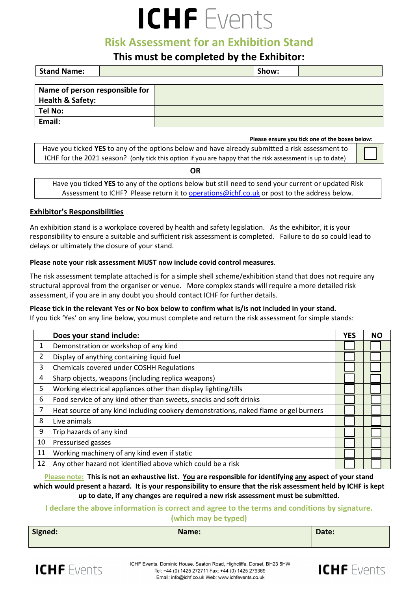# ICHF Events

## **Risk Assessment for an Exhibition Stand**

### **This must be completed by the Exhibitor:**

| <b>Stand Name:</b>             |  | Show: |  |
|--------------------------------|--|-------|--|
|                                |  |       |  |
| Name of person responsible for |  |       |  |
| <b>Health &amp; Safety:</b>    |  |       |  |
| Tel No:                        |  |       |  |
| Email:                         |  |       |  |

 **Please ensure you tick one of the boxes below:**

Have you ticked **YES** to any of the options below and have already submitted a risk assessment to ICHF for the 2021 season? (only tick this option if you are happy that the risk assessment is up to date)

**OR**

| ິ                                                                                                   |
|-----------------------------------------------------------------------------------------------------|
| Have you ticked YES to any of the options below but still need to send your current or updated Risk |
| Assessment to ICHF? Please return it to operations@ichf.co.uk or post to the address below.         |

#### **Exhibitor's Responsibilities**

An exhibition stand is a workplace covered by health and safety legislation. As the exhibitor, it is your responsibility to ensure a suitable and sufficient risk assessment is completed. Failure to do so could lead to delays or ultimately the closure of your stand.

#### **Please note your risk assessment MUST now include covid control measures**.

The risk assessment template attached is for a simple shell scheme/exhibition stand that does not require any structural approval from the organiser or venue. More complex stands will require a more detailed risk assessment, if you are in any doubt you should contact ICHF for further details.

**Please tick in the relevant Yes or No box below to confirm what is/is not included in your stand.**

If you tick 'Yes' on any line below, you must complete and return the risk assessment for simple stands:

|                | Does your stand include:                                                             | <b>YES</b> | <b>NO</b> |
|----------------|--------------------------------------------------------------------------------------|------------|-----------|
| 1              | Demonstration or workshop of any kind                                                |            |           |
| $\overline{2}$ | Display of anything containing liquid fuel                                           |            |           |
| 3              | Chemicals covered under COSHH Regulations                                            |            |           |
| 4              | Sharp objects, weapons (including replica weapons)                                   |            |           |
| 5              | Working electrical appliances other than display lighting/tills                      |            |           |
| 6              | Food service of any kind other than sweets, snacks and soft drinks                   |            |           |
| 7              | Heat source of any kind including cookery demonstrations, naked flame or gel burners |            |           |
| 8              | Live animals                                                                         |            |           |
| 9              | Trip hazards of any kind                                                             |            |           |
| 10             | Pressurised gasses                                                                   |            |           |
| 11             | Working machinery of any kind even if static                                         |            |           |
| 12             | Any other hazard not identified above which could be a risk                          |            |           |

**Please note: This is not an exhaustive list. You are responsible for identifying any aspect of your stand which would present a hazard. It is your responsibility to ensure that the risk assessment held by ICHF is kept up to date, if any changes are required a new risk assessment must be submitted.** 

#### **I declare the above information is correct and agree to the terms and conditions by signature. (which may be typed)**

| Signed: | Name: | Date: |
|---------|-------|-------|
|---------|-------|-------|



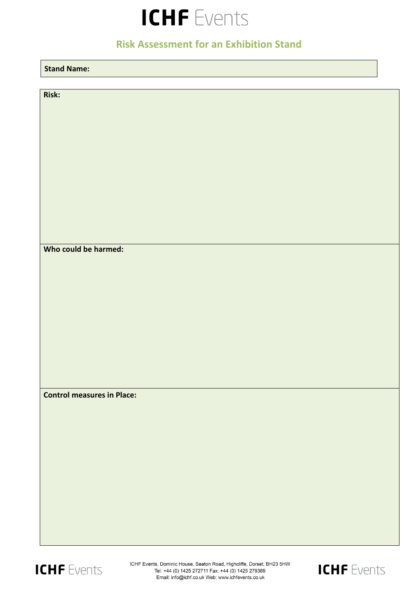# ICHF Events

# **Risk Assessment for an Exhibition Stand**

| <b>Stand Name:</b>                |  |
|-----------------------------------|--|
|                                   |  |
| Risk:                             |  |
|                                   |  |
|                                   |  |
|                                   |  |
|                                   |  |
|                                   |  |
|                                   |  |
|                                   |  |
|                                   |  |
| Who could be harmed:              |  |
|                                   |  |
|                                   |  |
|                                   |  |
|                                   |  |
|                                   |  |
|                                   |  |
|                                   |  |
|                                   |  |
| <b>Control measures in Place:</b> |  |
|                                   |  |
|                                   |  |
|                                   |  |
|                                   |  |
|                                   |  |
|                                   |  |
|                                   |  |
|                                   |  |
|                                   |  |